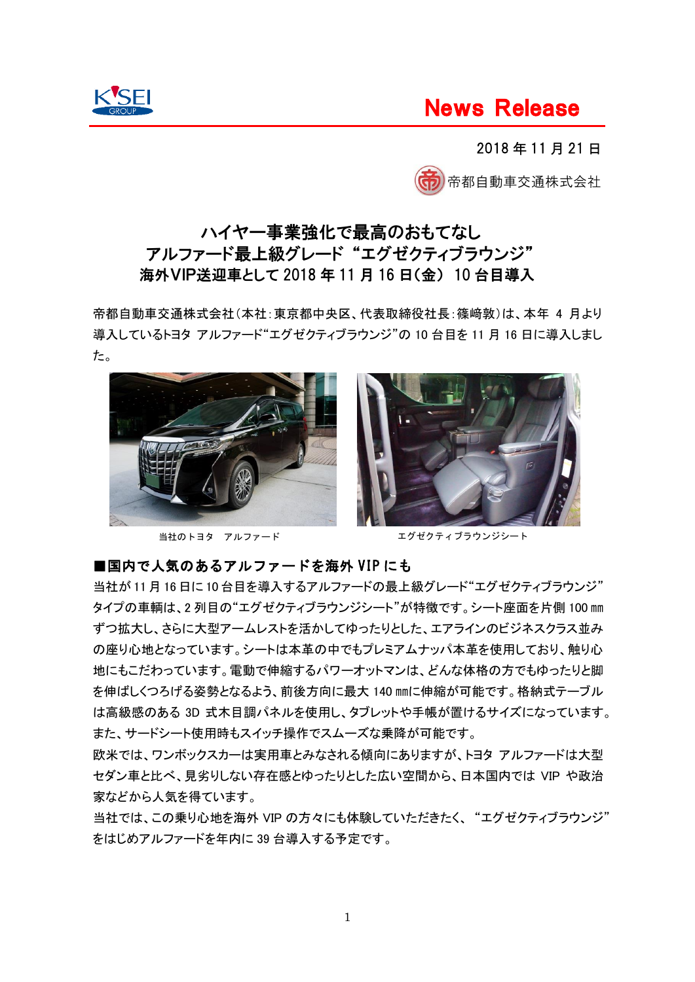

# News Release

2018 年 11 月 21 日



# ハイヤー事業強化で最高のおもてなし アルファード最上級グレード "エグゼクティブラウンジ" 海外VIP送迎車として 2018 年 11 月 16 日(金) 10 台目導入

帝都自動車交通株式会社(本社:東京都中央区、代表取締役社長:篠﨑敦)は、本年 4 月より 導入しているトヨタ アルファード"エグゼクティブラウンジ"の 10 台目を 11 月 16 日に導入しまし た。



当社のトヨタ アルファード



エグゼクティブラウンジシート

### ■国内で人気のあるアルファードを海外 VIP にも

当社が11月 16 日に 10 台目を導入するアルファードの最上級グレード"エグゼクティブラウンジ" タイプの車輌は、2 列目の"エグゼクティブラウンジシート"が特徴です。シート座面を片側 100 ㎜ ずつ拡大し、さらに大型アームレストを活かしてゆったりとした、エアラインのビジネスクラス並み の座り心地となっています。シートは本革の中でもプレミアムナッパ本革を使用しており、触り心 地にもこだわっています。電動で伸縮するパワーオットマンは、どんな体格の方でもゆったりと脚 を伸ばしくつろげる姿勢となるよう、前後方向に最大 140 ㎜に伸縮が可能です。格納式テーブル は高級感のある 3D 式木目調パネルを使用し、タブレットや手帳が置けるサイズになっています。 また、サードシート使用時もスイッチ操作でスムーズな乗降が可能です。

欧米では、ワンボックスカーは実用車とみなされる傾向にありますが、トヨタ アルファードは大型 セダン車と比べ、見劣りしない存在感とゆったりとした広い空間から、日本国内では VIP や政治 家などから人気を得ています。

当社では、この乗り心地を海外 VIP の方々にも体験していただきたく、 "エグゼクティブラウンジ" をはじめアルファードを年内に 39 台導入する予定です。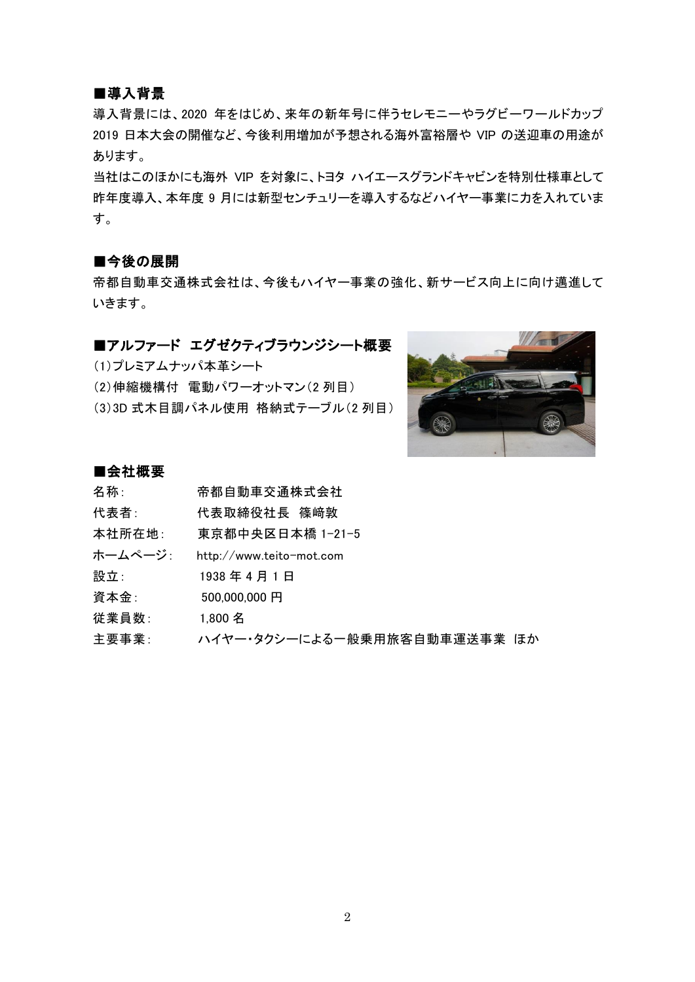### ■導入背景

導入背景には、2020 年をはじめ、来年の新年号に伴うセレモニーやラグビーワールドカップ 2019 日本大会の開催など、今後利用増加が予想される海外富裕層や VIP の送迎車の用途が あります。

当社はこのほかにも海外 VIP を対象に、トヨタ ハイエースグランドキャビンを特別仕様車として 昨年度導入、本年度 9 月には新型センチュリーを導入するなどハイヤー事業に力を入れていま す。

#### ■今後の展開

帝都自動車交通株式会社は、今後もハイヤー事業の強化、新サービス向上に向け邁進して いきます。

## ■アルファード エグゼクティブラウンジシート概要

(1)プレミアムナッパ本革シート

(2)伸縮機構付 電動パワーオットマン(2 列目) (3)3D 式木目調パネル使用 格納式テーブル(2 列目)



### ■会社概要

| 名称:      | 帝都自動車交通株式会社                  |
|----------|------------------------------|
| 代表者:     | 代表取締役社長 篠﨑敦                  |
| 本社所在地:   | 東京都中央区日本橋 1-21-5             |
| ホームページ : | http://www.teito-mot.com     |
| 設立:      | 1938年4月1日                    |
| 資本金:     | 500,000,000 円                |
| 従業員数:    | 1.800 名                      |
| 主要事業:    | ハイヤー・タクシーによる一般乗用旅客自動車運送事業 ほか |
|          |                              |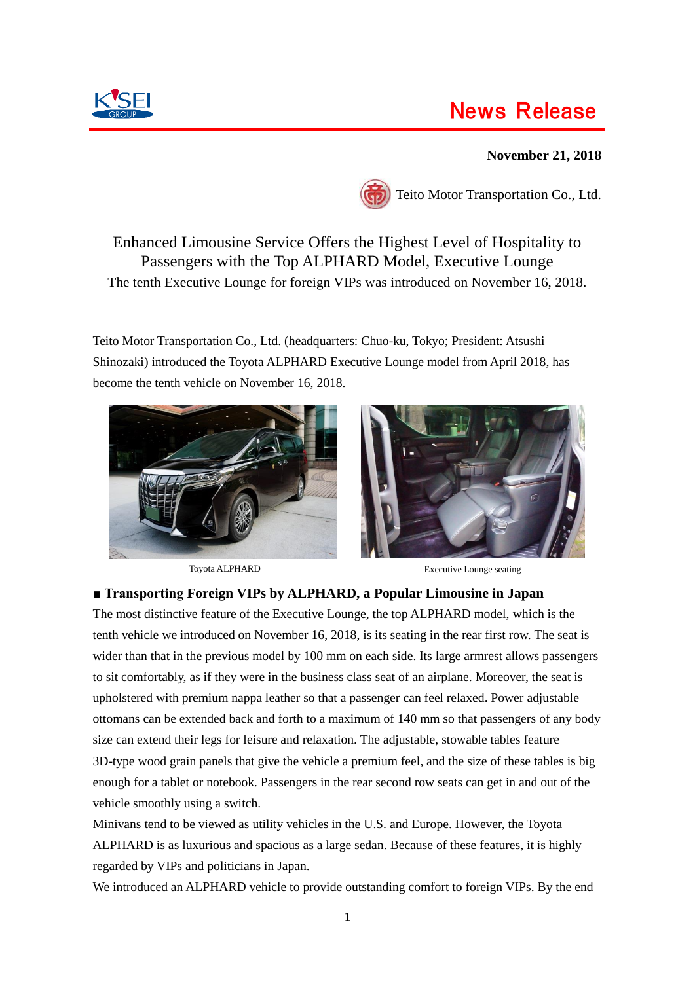# News Release

## **November 21, 2018**





Teito Motor Transportation Co., Ltd.

Enhanced Limousine Service Offers the Highest Level of Hospitality to Passengers with the Top ALPHARD Model, Executive Lounge The tenth Executive Lounge for foreign VIPs was introduced on November 16, 2018.

Teito Motor Transportation Co., Ltd. (headquarters: Chuo-ku, Tokyo; President: Atsushi Shinozaki) introduced the Toyota ALPHARD Executive Lounge model from April 2018, has become the tenth vehicle on November 16, 2018.





Toyota ALPHARD Executive Lounge seating

### **■ Transporting Foreign VIPs by ALPHARD, a Popular Limousine in Japan**

The most distinctive feature of the Executive Lounge, the top ALPHARD model, which is the tenth vehicle we introduced on November 16, 2018, is its seating in the rear first row. The seat is wider than that in the previous model by 100 mm on each side. Its large armrest allows passengers to sit comfortably, as if they were in the business class seat of an airplane. Moreover, the seat is upholstered with premium nappa leather so that a passenger can feel relaxed. Power adjustable ottomans can be extended back and forth to a maximum of 140 mm so that passengers of any body size can extend their legs for leisure and relaxation. The adjustable, stowable tables feature 3D-type wood grain panels that give the vehicle a premium feel, and the size of these tables is big enough for a tablet or notebook. Passengers in the rear second row seats can get in and out of the vehicle smoothly using a switch.

Minivans tend to be viewed as utility vehicles in the U.S. and Europe. However, the Toyota ALPHARD is as luxurious and spacious as a large sedan. Because of these features, it is highly regarded by VIPs and politicians in Japan.

We introduced an ALPHARD vehicle to provide outstanding comfort to foreign VIPs. By the end